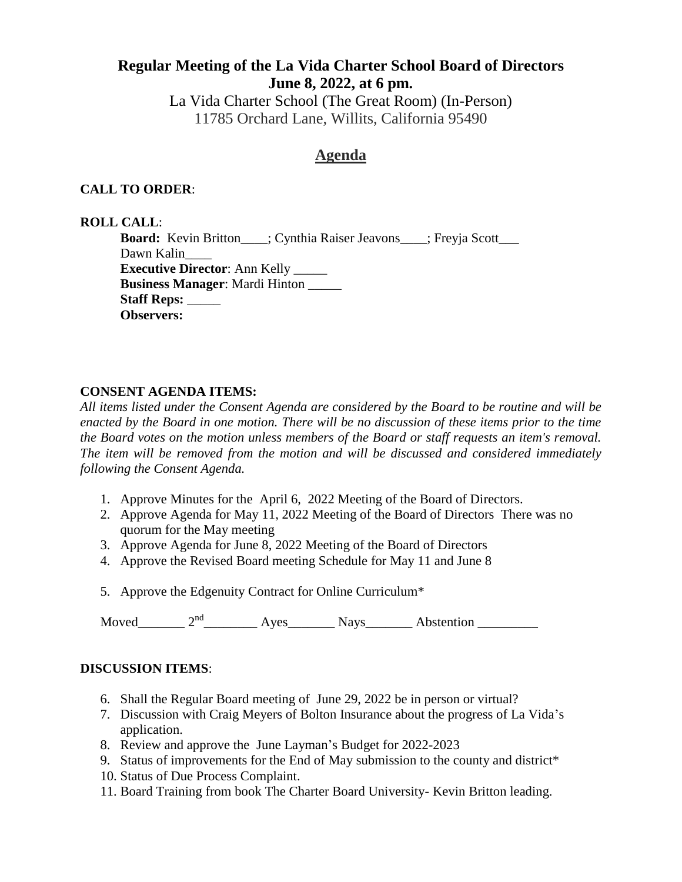# **Regular Meeting of the La Vida Charter School Board of Directors June 8, 2022, at 6 pm.**

La Vida Charter School (The Great Room) (In-Person) 11785 Orchard Lane, Willits, California 95490

# **Agenda**

### **CALL TO ORDER**:

#### **ROLL CALL**:

**Board:** Kevin Britton\_\_\_; Cynthia Raiser Jeavons\_\_\_; Freyja Scott\_\_\_ Dawn Kalin\_\_\_\_ **Executive Director**: Ann Kelly \_\_\_\_\_ **Business Manager**: Mardi Hinton \_\_\_\_\_ **Staff Reps:** \_\_\_\_\_ **Observers:** 

#### **CONSENT AGENDA ITEMS:**

*All items listed under the Consent Agenda are considered by the Board to be routine and will be enacted by the Board in one motion. There will be no discussion of these items prior to the time the Board votes on the motion unless members of the Board or staff requests an item's removal. The item will be removed from the motion and will be discussed and considered immediately following the Consent Agenda.* 

- 1. Approve Minutes for the April 6, 2022 Meeting of the Board of Directors.
- 2. Approve Agenda for May 11, 2022 Meeting of the Board of Directors There was no quorum for the May meeting
- 3. Approve Agenda for June 8, 2022 Meeting of the Board of Directors
- 4. Approve the Revised Board meeting Schedule for May 11 and June 8
- 5. Approve the Edgenuity Contract for Online Curriculum\*

Moved\_\_\_\_\_\_\_\_ 2<sup>nd</sup>\_\_\_\_\_\_\_\_\_\_ Ayes\_\_\_\_\_\_\_\_ Nays\_\_\_\_\_\_\_\_ Abstention \_\_\_\_\_\_\_\_\_\_

#### **DISCUSSION ITEMS**:

- 6. Shall the Regular Board meeting of June 29, 2022 be in person or virtual?
- 7. Discussion with Craig Meyers of Bolton Insurance about the progress of La Vida's application.
- 8. Review and approve the June Layman's Budget for 2022-2023
- 9. Status of improvements for the End of May submission to the county and district\*
- 10. Status of Due Process Complaint.
- 11. Board Training from book The Charter Board University- Kevin Britton leading.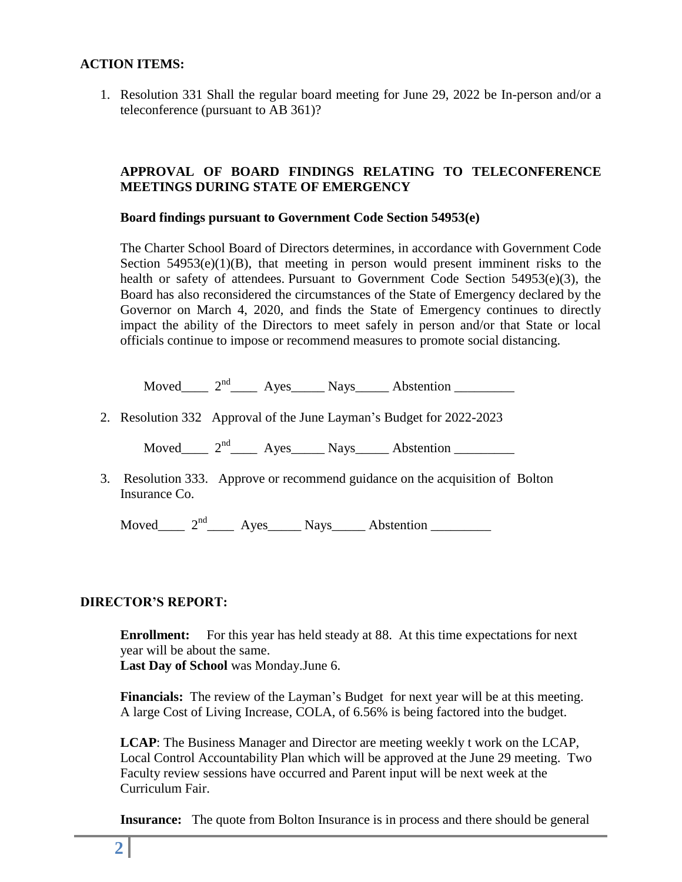### **ACTION ITEMS:**

1. Resolution 331 Shall the regular board meeting for June 29, 2022 be In-person and/or a teleconference (pursuant to AB 361)?

## **APPROVAL OF BOARD FINDINGS RELATING TO TELECONFERENCE MEETINGS DURING STATE OF EMERGENCY**

#### **Board findings pursuant to Government Code Section 54953(e)**

The Charter School Board of Directors determines, in accordance with Government Code Section  $54953(e)(1)(B)$ , that meeting in person would present imminent risks to the health or safety of attendees. Pursuant to Government Code Section 54953(e)(3), the Board has also reconsidered the circumstances of the State of Emergency declared by the Governor on March 4, 2020, and finds the State of Emergency continues to directly impact the ability of the Directors to meet safely in person and/or that State or local officials continue to impose or recommend measures to promote social distancing.

Moved  $2<sup>nd</sup>$  Ayes Nays Abstention

2. Resolution 332 Approval of the June Layman's Budget for 2022-2023

Moved\_\_\_\_  $2<sup>nd</sup>$ \_\_\_\_ Ayes\_\_\_\_\_ Nays\_\_\_\_\_ Abstention \_\_\_\_\_\_\_\_

3. Resolution 333. Approve or recommend guidance on the acquisition of Bolton Insurance Co.

Moved\_\_\_\_  $2<sup>nd</sup>$ \_\_\_\_ Ayes\_\_\_\_\_ Nays\_\_\_\_\_ Abstention \_\_\_\_\_\_\_\_\_

#### **DIRECTOR'S REPORT:**

**Enrollment:** For this year has held steady at 88. At this time expectations for next year will be about the same.

**Last Day of School** was Monday.June 6.

**Financials:** The review of the Layman's Budget for next year will be at this meeting. A large Cost of Living Increase, COLA, of 6.56% is being factored into the budget.

**LCAP**: The Business Manager and Director are meeting weekly t work on the LCAP, Local Control Accountability Plan which will be approved at the June 29 meeting. Two Faculty review sessions have occurred and Parent input will be next week at the Curriculum Fair.

**Insurance:** The quote from Bolton Insurance is in process and there should be general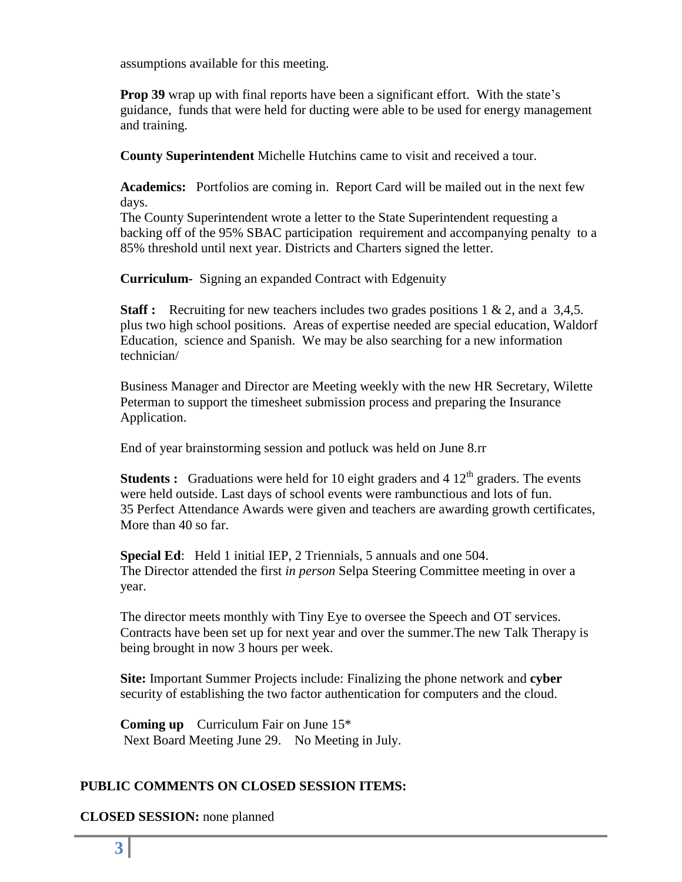assumptions available for this meeting.

**Prop 39** wrap up with final reports have been a significant effort. With the state's guidance, funds that were held for ducting were able to be used for energy management and training.

**County Superintendent** Michelle Hutchins came to visit and received a tour.

**Academics:** Portfolios are coming in. Report Card will be mailed out in the next few days.

The County Superintendent wrote a letter to the State Superintendent requesting a backing off of the 95% SBAC participation requirement and accompanying penalty to a 85% threshold until next year. Districts and Charters signed the letter.

**Curriculum-** Signing an expanded Contract with Edgenuity

**Staff :** Recruiting for new teachers includes two grades positions 1 & 2, and a 3,4,5. plus two high school positions. Areas of expertise needed are special education, Waldorf Education, science and Spanish. We may be also searching for a new information technician/

Business Manager and Director are Meeting weekly with the new HR Secretary, Wilette Peterman to support the timesheet submission process and preparing the Insurance Application.

End of year brainstorming session and potluck was held on June 8.rr

**Students :** Graduations were held for 10 eight graders and 4  $12<sup>th</sup>$  graders. The events were held outside. Last days of school events were rambunctious and lots of fun. 35 Perfect Attendance Awards were given and teachers are awarding growth certificates, More than 40 so far.

**Special Ed**: Held 1 initial IEP, 2 Triennials, 5 annuals and one 504. The Director attended the first *in person* Selpa Steering Committee meeting in over a year.

The director meets monthly with Tiny Eye to oversee the Speech and OT services. Contracts have been set up for next year and over the summer.The new Talk Therapy is being brought in now 3 hours per week.

**Site:** Important Summer Projects include: Finalizing the phone network and **cyber**  security of establishing the two factor authentication for computers and the cloud.

**Coming up** Curriculum Fair on June 15\* Next Board Meeting June 29. No Meeting in July.

# **PUBLIC COMMENTS ON CLOSED SESSION ITEMS:**

**CLOSED SESSION:** none planned